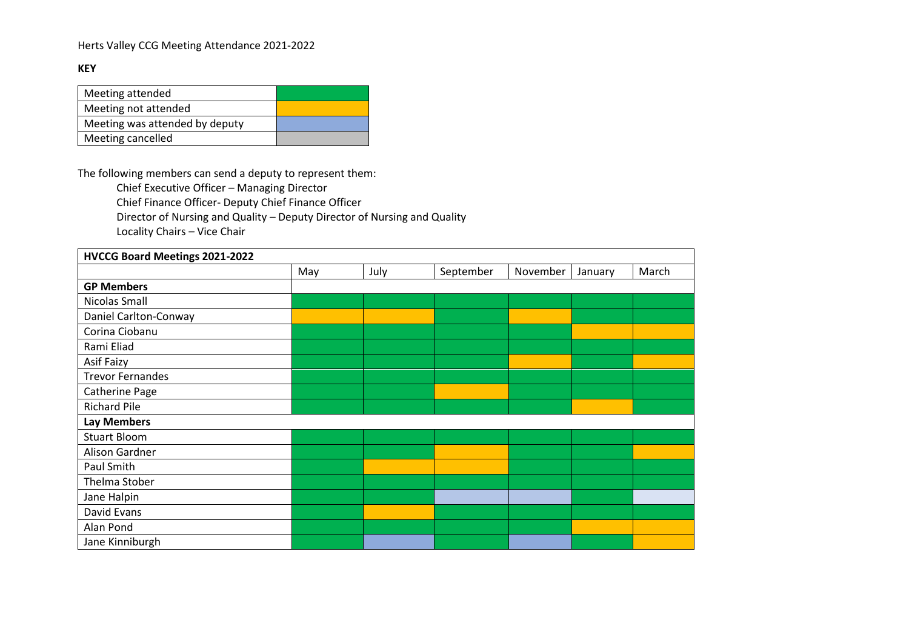## Herts Valley CCG Meeting Attendance 2021-2022

## **KEY**

| Meeting attended               |  |
|--------------------------------|--|
| Meeting not attended           |  |
| Meeting was attended by deputy |  |
| Meeting cancelled              |  |

The following members can send a deputy to represent them:

Chief Executive Officer – Managing Director

Chief Finance Officer- Deputy Chief Finance Officer

Director of Nursing and Quality – Deputy Director of Nursing and Quality

Locality Chairs – Vice Chair

| HVCCG Board Meetings 2021-2022 |     |      |           |          |         |       |
|--------------------------------|-----|------|-----------|----------|---------|-------|
|                                | May | July | September | November | January | March |
| <b>GP Members</b>              |     |      |           |          |         |       |
| Nicolas Small                  |     |      |           |          |         |       |
| Daniel Carlton-Conway          |     |      |           |          |         |       |
| Corina Ciobanu                 |     |      |           |          |         |       |
| Rami Eliad                     |     |      |           |          |         |       |
| Asif Faizy                     |     |      |           |          |         |       |
| <b>Trevor Fernandes</b>        |     |      |           |          |         |       |
| Catherine Page                 |     |      |           |          |         |       |
| <b>Richard Pile</b>            |     |      |           |          |         |       |
| <b>Lay Members</b>             |     |      |           |          |         |       |
| <b>Stuart Bloom</b>            |     |      |           |          |         |       |
| Alison Gardner                 |     |      |           |          |         |       |
| Paul Smith                     |     |      |           |          |         |       |
| Thelma Stober                  |     |      |           |          |         |       |
| Jane Halpin                    |     |      |           |          |         |       |
| David Evans                    |     |      |           |          |         |       |
| Alan Pond                      |     |      |           |          |         |       |
| Jane Kinniburgh                |     |      |           |          |         |       |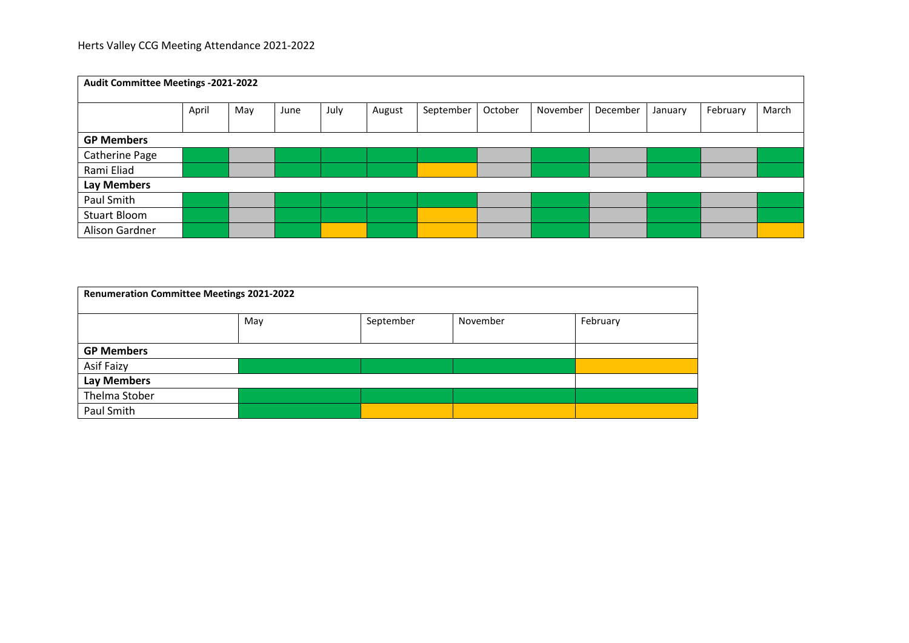| Audit Committee Meetings -2021-2022 |       |     |      |      |        |           |         |          |          |         |          |       |
|-------------------------------------|-------|-----|------|------|--------|-----------|---------|----------|----------|---------|----------|-------|
|                                     | April | May | June | July | August | September | October | November | December | January | February | March |
|                                     |       |     |      |      |        |           |         |          |          |         |          |       |
| <b>GP Members</b>                   |       |     |      |      |        |           |         |          |          |         |          |       |
| Catherine Page                      |       |     |      |      |        |           |         |          |          |         |          |       |
| Rami Eliad                          |       |     |      |      |        |           |         |          |          |         |          |       |
| <b>Lay Members</b>                  |       |     |      |      |        |           |         |          |          |         |          |       |
| Paul Smith                          |       |     |      |      |        |           |         |          |          |         |          |       |
| <b>Stuart Bloom</b>                 |       |     |      |      |        |           |         |          |          |         |          |       |
| Alison Gardner                      |       |     |      |      |        |           |         |          |          |         |          |       |

| <b>Renumeration Committee Meetings 2021-2022</b> |     |           |          |          |  |  |  |
|--------------------------------------------------|-----|-----------|----------|----------|--|--|--|
|                                                  | May | September | November | February |  |  |  |
| <b>GP Members</b>                                |     |           |          |          |  |  |  |
| Asif Faizy                                       |     |           |          |          |  |  |  |
| <b>Lay Members</b>                               |     |           |          |          |  |  |  |
| Thelma Stober                                    |     |           |          |          |  |  |  |
| Paul Smith                                       |     |           |          |          |  |  |  |